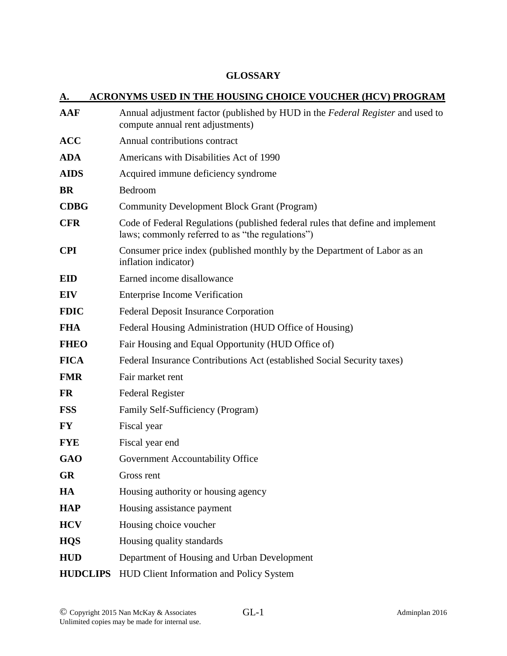## **GLOSSARY**

| А.              | <b>ACRONYMS USED IN THE HOUSING CHOICE VOUCHER (HCV) PROGRAM</b>                                                                   |
|-----------------|------------------------------------------------------------------------------------------------------------------------------------|
| <b>AAF</b>      | Annual adjustment factor (published by HUD in the Federal Register and used to<br>compute annual rent adjustments)                 |
| <b>ACC</b>      | Annual contributions contract                                                                                                      |
| <b>ADA</b>      | Americans with Disabilities Act of 1990                                                                                            |
| <b>AIDS</b>     | Acquired immune deficiency syndrome                                                                                                |
| <b>BR</b>       | Bedroom                                                                                                                            |
| <b>CDBG</b>     | <b>Community Development Block Grant (Program)</b>                                                                                 |
| <b>CFR</b>      | Code of Federal Regulations (published federal rules that define and implement<br>laws; commonly referred to as "the regulations") |
| <b>CPI</b>      | Consumer price index (published monthly by the Department of Labor as an<br>inflation indicator)                                   |
| <b>EID</b>      | Earned income disallowance                                                                                                         |
| <b>EIV</b>      | <b>Enterprise Income Verification</b>                                                                                              |
| <b>FDIC</b>     | <b>Federal Deposit Insurance Corporation</b>                                                                                       |
| <b>FHA</b>      | Federal Housing Administration (HUD Office of Housing)                                                                             |
| <b>FHEO</b>     | Fair Housing and Equal Opportunity (HUD Office of)                                                                                 |
| <b>FICA</b>     | Federal Insurance Contributions Act (established Social Security taxes)                                                            |
| <b>FMR</b>      | Fair market rent                                                                                                                   |
| <b>FR</b>       | <b>Federal Register</b>                                                                                                            |
| <b>FSS</b>      | Family Self-Sufficiency (Program)                                                                                                  |
| <b>FY</b>       | Fiscal year                                                                                                                        |
| <b>FYE</b>      | Fiscal year end                                                                                                                    |
| <b>GAO</b>      | Government Accountability Office                                                                                                   |
| <b>GR</b>       | Gross rent                                                                                                                         |
| HA              | Housing authority or housing agency                                                                                                |
| <b>HAP</b>      | Housing assistance payment                                                                                                         |
| <b>HCV</b>      | Housing choice voucher                                                                                                             |
| <b>HQS</b>      | Housing quality standards                                                                                                          |
| <b>HUD</b>      | Department of Housing and Urban Development                                                                                        |
| <b>HUDCLIPS</b> | HUD Client Information and Policy System                                                                                           |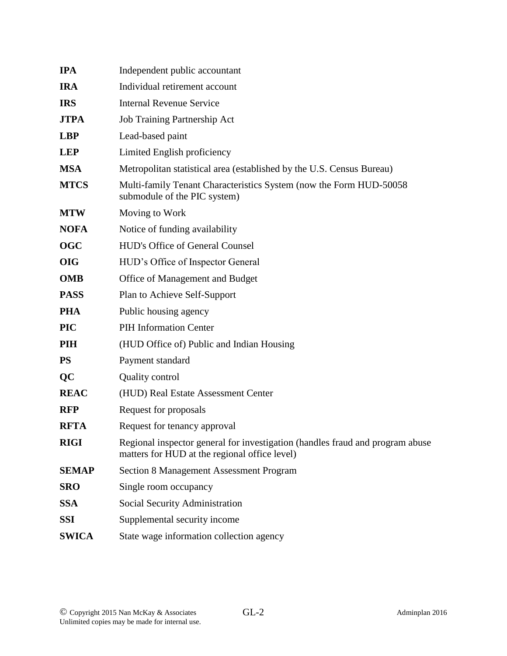| <b>IPA</b>   | Independent public accountant                                                                                                  |
|--------------|--------------------------------------------------------------------------------------------------------------------------------|
| <b>IRA</b>   | Individual retirement account                                                                                                  |
| <b>IRS</b>   | <b>Internal Revenue Service</b>                                                                                                |
| <b>JTPA</b>  | Job Training Partnership Act                                                                                                   |
| <b>LBP</b>   | Lead-based paint                                                                                                               |
| <b>LEP</b>   | Limited English proficiency                                                                                                    |
| <b>MSA</b>   | Metropolitan statistical area (established by the U.S. Census Bureau)                                                          |
| <b>MTCS</b>  | Multi-family Tenant Characteristics System (now the Form HUD-50058<br>submodule of the PIC system)                             |
| <b>MTW</b>   | Moving to Work                                                                                                                 |
| <b>NOFA</b>  | Notice of funding availability                                                                                                 |
| <b>OGC</b>   | <b>HUD's Office of General Counsel</b>                                                                                         |
| <b>OIG</b>   | HUD's Office of Inspector General                                                                                              |
| <b>OMB</b>   | Office of Management and Budget                                                                                                |
| <b>PASS</b>  | Plan to Achieve Self-Support                                                                                                   |
| <b>PHA</b>   | Public housing agency                                                                                                          |
| <b>PIC</b>   | <b>PIH Information Center</b>                                                                                                  |
| <b>PIH</b>   | (HUD Office of) Public and Indian Housing                                                                                      |
| <b>PS</b>    | Payment standard                                                                                                               |
| QC           | <b>Quality control</b>                                                                                                         |
| <b>REAC</b>  | (HUD) Real Estate Assessment Center                                                                                            |
| <b>RFP</b>   | Request for proposals                                                                                                          |
| <b>RFTA</b>  | Request for tenancy approval                                                                                                   |
| <b>RIGI</b>  | Regional inspector general for investigation (handles fraud and program abuse<br>matters for HUD at the regional office level) |
| <b>SEMAP</b> | <b>Section 8 Management Assessment Program</b>                                                                                 |
| <b>SRO</b>   | Single room occupancy                                                                                                          |
| <b>SSA</b>   | Social Security Administration                                                                                                 |
| <b>SSI</b>   | Supplemental security income                                                                                                   |
| <b>SWICA</b> | State wage information collection agency                                                                                       |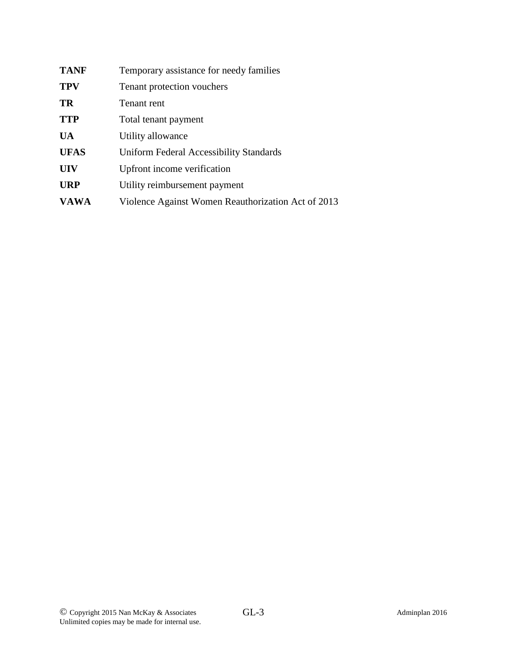| <b>TANF</b> | Temporary assistance for needy families            |
|-------------|----------------------------------------------------|
| <b>TPV</b>  | Tenant protection vouchers                         |
| TR          | Tenant rent                                        |
| <b>TTP</b>  | Total tenant payment                               |
| <b>UA</b>   | Utility allowance                                  |
| <b>UFAS</b> | <b>Uniform Federal Accessibility Standards</b>     |
| <b>UIV</b>  | Upfront income verification                        |
| <b>URP</b>  | Utility reimbursement payment                      |
| <b>VAWA</b> | Violence Against Women Reauthorization Act of 2013 |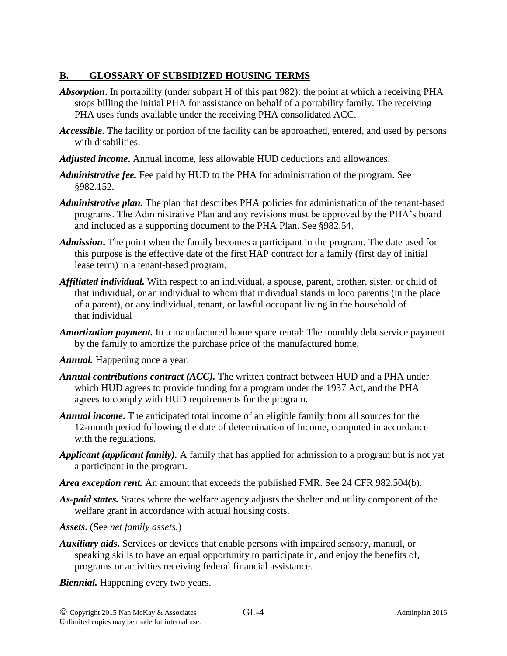## **B. GLOSSARY OF SUBSIDIZED HOUSING TERMS**

- *Absorption***.** In portability (under subpart H of this part 982): the point at which a receiving PHA stops billing the initial PHA for assistance on behalf of a portability family. The receiving PHA uses funds available under the receiving PHA consolidated ACC.
- *Accessible***.** The facility or portion of the facility can be approached, entered, and used by persons with disabilities.
- *Adjusted income***.** Annual income, less allowable HUD deductions and allowances.
- *Administrative fee.* Fee paid by HUD to the PHA for administration of the program. See §982.152.
- *Administrative plan.* The plan that describes PHA policies for administration of the tenant-based programs. The Administrative Plan and any revisions must be approved by the PHA's board and included as a supporting document to the PHA Plan. See §982.54.
- *Admission***.** The point when the family becomes a participant in the program. The date used for this purpose is the effective date of the first HAP contract for a family (first day of initial lease term) in a tenant-based program.
- *Affiliated individual.* With respect to an individual, a spouse, parent, brother, sister, or child of that individual, or an individual to whom that individual stands in loco parentis (in the place of a parent), or any individual, tenant, or lawful occupant living in the household of that individual
- *Amortization payment.* In a manufactured home space rental: The monthly debt service payment by the family to amortize the purchase price of the manufactured home.
- *Annual.* Happening once a year.
- *Annual contributions contract (ACC).* The written contract between HUD and a PHA under which HUD agrees to provide funding for a program under the 1937 Act, and the PHA agrees to comply with HUD requirements for the program.
- *Annual income***.** The anticipated total income of an eligible family from all sources for the 12-month period following the date of determination of income, computed in accordance with the regulations.
- *Applicant (applicant family).* A family that has applied for admission to a program but is not yet a participant in the program.
- *Area exception rent.* An amount that exceeds the published FMR. See 24 CFR 982.504(b).
- *As-paid states.* States where the welfare agency adjusts the shelter and utility component of the welfare grant in accordance with actual housing costs.
- *Assets***.** (See *net family assets.*)
- *Auxiliary aids.* Services or devices that enable persons with impaired sensory, manual, or speaking skills to have an equal opportunity to participate in, and enjoy the benefits of, programs or activities receiving federal financial assistance.
- *Biennial.* Happening every two years.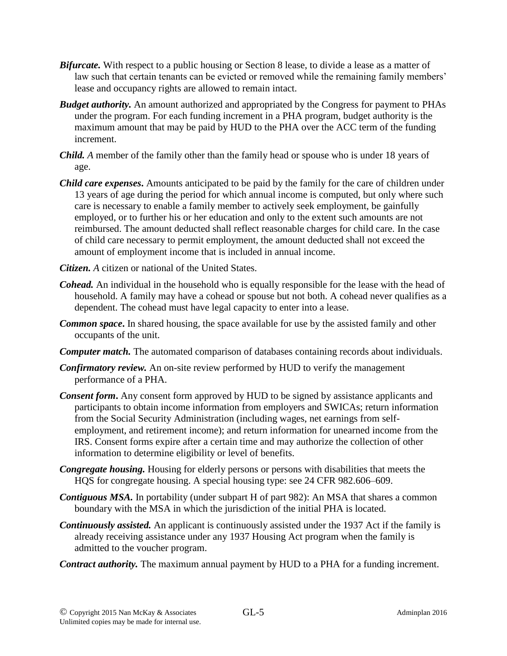- *Bifurcate.* With respect to a public housing or Section 8 lease, to divide a lease as a matter of law such that certain tenants can be evicted or removed while the remaining family members' lease and occupancy rights are allowed to remain intact.
- *Budget authority.* An amount authorized and appropriated by the Congress for payment to PHAs under the program. For each funding increment in a PHA program, budget authority is the maximum amount that may be paid by HUD to the PHA over the ACC term of the funding increment.
- *Child. A* member of the family other than the family head or spouse who is under 18 years of age.
- *Child care expenses***.** Amounts anticipated to be paid by the family for the care of children under 13 years of age during the period for which annual income is computed, but only where such care is necessary to enable a family member to actively seek employment, be gainfully employed, or to further his or her education and only to the extent such amounts are not reimbursed. The amount deducted shall reflect reasonable charges for child care. In the case of child care necessary to permit employment, the amount deducted shall not exceed the amount of employment income that is included in annual income.
- *Citizen. A* citizen or national of the United States.
- *Cohead.* An individual in the household who is equally responsible for the lease with the head of household. A family may have a cohead or spouse but not both. A cohead never qualifies as a dependent. The cohead must have legal capacity to enter into a lease.
- *Common space***.** In shared housing, the space available for use by the assisted family and other occupants of the unit.
- *Computer match.* The automated comparison of databases containing records about individuals.
- *Confirmatory review.* An on-site review performed by HUD to verify the management performance of a PHA.
- *Consent form***.** Any consent form approved by HUD to be signed by assistance applicants and participants to obtain income information from employers and SWICAs; return information from the Social Security Administration (including wages, net earnings from selfemployment, and retirement income); and return information for unearned income from the IRS. Consent forms expire after a certain time and may authorize the collection of other information to determine eligibility or level of benefits.
- *Congregate housing.* Housing for elderly persons or persons with disabilities that meets the HQS for congregate housing. A special housing type: see 24 CFR 982.606–609.
- *Contiguous MSA.* In portability (under subpart H of part 982): An MSA that shares a common boundary with the MSA in which the jurisdiction of the initial PHA is located.
- *Continuously assisted.* An applicant is continuously assisted under the 1937 Act if the family is already receiving assistance under any 1937 Housing Act program when the family is admitted to the voucher program.
- *Contract authority.* The maximum annual payment by HUD to a PHA for a funding increment.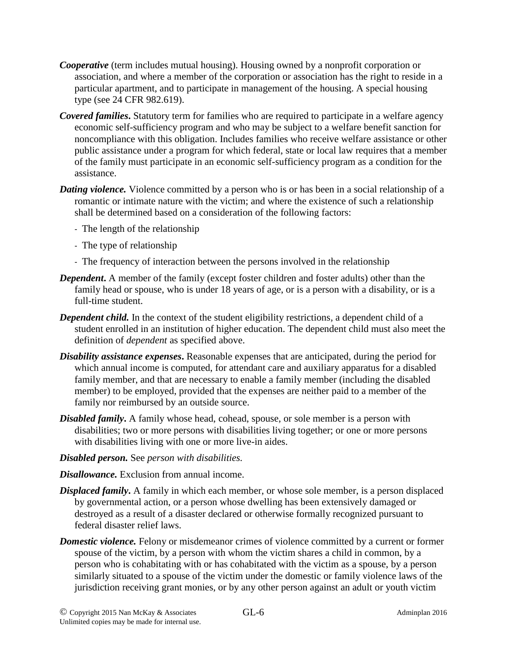- *Cooperative* (term includes mutual housing). Housing owned by a nonprofit corporation or association, and where a member of the corporation or association has the right to reside in a particular apartment, and to participate in management of the housing. A special housing type (see 24 CFR 982.619).
- *Covered families***.** Statutory term for families who are required to participate in a welfare agency economic self-sufficiency program and who may be subject to a welfare benefit sanction for noncompliance with this obligation. Includes families who receive welfare assistance or other public assistance under a program for which federal, state or local law requires that a member of the family must participate in an economic self-sufficiency program as a condition for the assistance.
- *Dating violence.* Violence committed by a person who is or has been in a social relationship of a romantic or intimate nature with the victim; and where the existence of such a relationship shall be determined based on a consideration of the following factors:
	- The length of the relationship
	- The type of relationship
	- The frequency of interaction between the persons involved in the relationship
- *Dependent*. A member of the family (except foster children and foster adults) other than the family head or spouse, who is under 18 years of age, or is a person with a disability, or is a full-time student.
- *Dependent child.* In the context of the student eligibility restrictions*,* a dependent child of a student enrolled in an institution of higher education. The dependent child must also meet the definition of *dependent* as specified above.
- *Disability assistance expenses*. Reasonable expenses that are anticipated, during the period for which annual income is computed, for attendant care and auxiliary apparatus for a disabled family member, and that are necessary to enable a family member (including the disabled member) to be employed, provided that the expenses are neither paid to a member of the family nor reimbursed by an outside source.
- *Disabled family***.** A family whose head, cohead, spouse, or sole member is a person with disabilities; two or more persons with disabilities living together; or one or more persons with disabilities living with one or more live-in aides.
- *Disabled person.* See *person with disabilities.*
- *Disallowance.* Exclusion from annual income.
- *Displaced family***.** A family in which each member, or whose sole member, is a person displaced by governmental action, or a person whose dwelling has been extensively damaged or destroyed as a result of a disaster declared or otherwise formally recognized pursuant to federal disaster relief laws.
- *Domestic violence*. Felony or misdemeanor crimes of violence committed by a current or former spouse of the victim, by a person with whom the victim shares a child in common, by a person who is cohabitating with or has cohabitated with the victim as a spouse, by a person similarly situated to a spouse of the victim under the domestic or family violence laws of the jurisdiction receiving grant monies, or by any other person against an adult or youth victim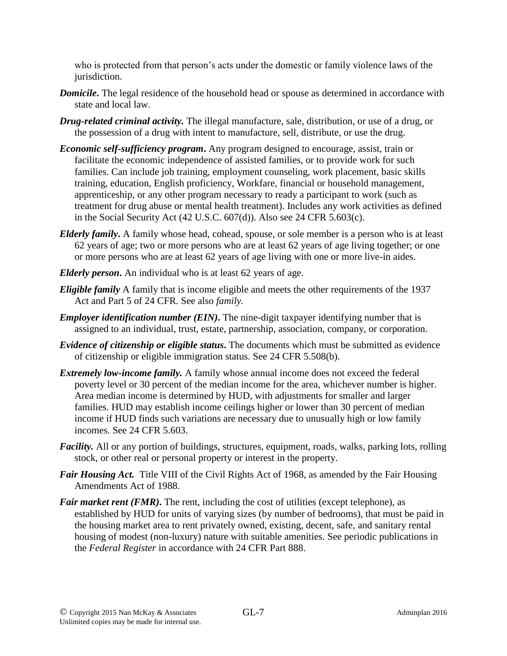who is protected from that person's acts under the domestic or family violence laws of the jurisdiction.

- *Domicile***.** The legal residence of the household head or spouse as determined in accordance with state and local law.
- *Drug-related criminal activity.* The illegal manufacture, sale, distribution, or use of a drug, or the possession of a drug with intent to manufacture, sell, distribute, or use the drug.
- *Economic self-sufficiency program***.** Any program designed to encourage, assist, train or facilitate the economic independence of assisted families, or to provide work for such families. Can include job training, employment counseling, work placement, basic skills training, education, English proficiency, Workfare, financial or household management, apprenticeship, or any other program necessary to ready a participant to work (such as treatment for drug abuse or mental health treatment). Includes any work activities as defined in the Social Security Act (42 U.S.C. 607(d)). Also see 24 CFR 5.603(c).
- *Elderly family***.** A family whose head, cohead, spouse, or sole member is a person who is at least 62 years of age; two or more persons who are at least 62 years of age living together; or one or more persons who are at least 62 years of age living with one or more live-in aides.
- *Elderly person***.** An individual who is at least 62 years of age.
- *Eligible family* A family that is income eligible and meets the other requirements of the 1937 Act and Part 5 of 24 CFR. See also *family.*
- *Employer identification number (EIN)*. The nine-digit taxpayer identifying number that is assigned to an individual, trust, estate, partnership, association, company, or corporation.
- *Evidence of citizenship or eligible status***.** The documents which must be submitted as evidence of citizenship or eligible immigration status. See 24 CFR 5.508(b).
- *Extremely low-income family.* A family whose annual income does not exceed the federal poverty level or 30 percent of the median income for the area, whichever number is higher. Area median income is determined by HUD, with adjustments for smaller and larger families. HUD may establish income ceilings higher or lower than 30 percent of median income if HUD finds such variations are necessary due to unusually high or low family incomes. See 24 CFR 5.603.
- *Facility*. All or any portion of buildings, structures, equipment, roads, walks, parking lots, rolling stock, or other real or personal property or interest in the property.
- *Fair Housing Act.* Title VIII of the Civil Rights Act of 1968, as amended by the Fair Housing Amendments Act of 1988.
- *Fair market rent (FMR)*. The rent, including the cost of utilities (except telephone), as established by HUD for units of varying sizes (by number of bedrooms), that must be paid in the housing market area to rent privately owned, existing, decent, safe, and sanitary rental housing of modest (non-luxury) nature with suitable amenities. See periodic publications in the *Federal Register* in accordance with 24 CFR Part 888.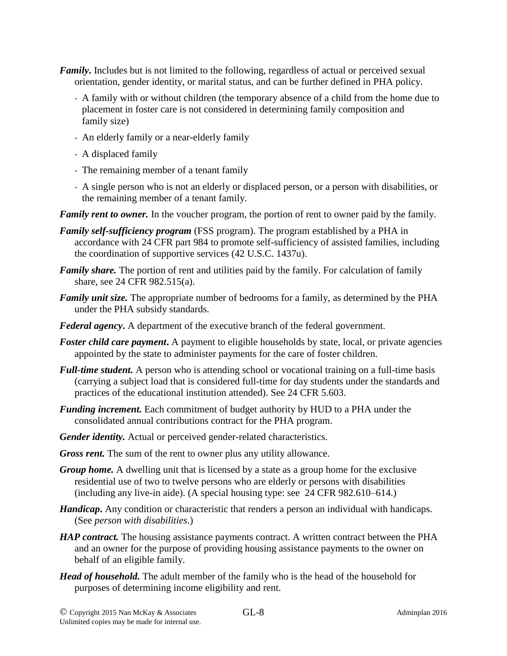- *Family***.** Includes but is not limited to the following, regardless of actual or perceived sexual orientation, gender identity, or marital status, and can be further defined in PHA policy.
	- A family with or without children (the temporary absence of a child from the home due to placement in foster care is not considered in determining family composition and family size)
	- An elderly family or a near-elderly family
	- A displaced family
	- The remaining member of a tenant family
	- A single person who is not an elderly or displaced person, or a person with disabilities, or the remaining member of a tenant family.

*Family rent to owner.* In the voucher program, the portion of rent to owner paid by the family.

- *Family self-sufficiency program* (FSS program). The program established by a PHA in accordance with 24 CFR part 984 to promote self-sufficiency of assisted families, including the coordination of supportive services (42 U.S.C. 1437u).
- *Family share.* The portion of rent and utilities paid by the family. For calculation of family share, see 24 CFR 982.515(a).
- *Family unit size.* The appropriate number of bedrooms for a family, as determined by the PHA under the PHA subsidy standards.
- *Federal agency***.** A department of the executive branch of the federal government.
- *Foster child care payment*. A payment to eligible households by state, local, or private agencies appointed by the state to administer payments for the care of foster children.
- *Full-time student.* A person who is attending school or vocational training on a full-time basis (carrying a subject load that is considered full-time for day students under the standards and practices of the educational institution attended). See 24 CFR 5.603.
- *Funding increment.* Each commitment of budget authority by HUD to a PHA under the consolidated annual contributions contract for the PHA program.
- *Gender identity.* Actual or perceived gender-related characteristics.
- *Gross rent.* The sum of the rent to owner plus any utility allowance.
- *Group home.* A dwelling unit that is licensed by a state as a group home for the exclusive residential use of two to twelve persons who are elderly or persons with disabilities (including any live-in aide). (A special housing type: see 24 CFR 982.610–614.)
- *Handicap***.** Any condition or characteristic that renders a person an individual with handicaps. (See *person with disabilities*.)
- *HAP contract*. The housing assistance payments contract. A written contract between the PHA and an owner for the purpose of providing housing assistance payments to the owner on behalf of an eligible family.
- *Head of household.* The adult member of the family who is the head of the household for purposes of determining income eligibility and rent.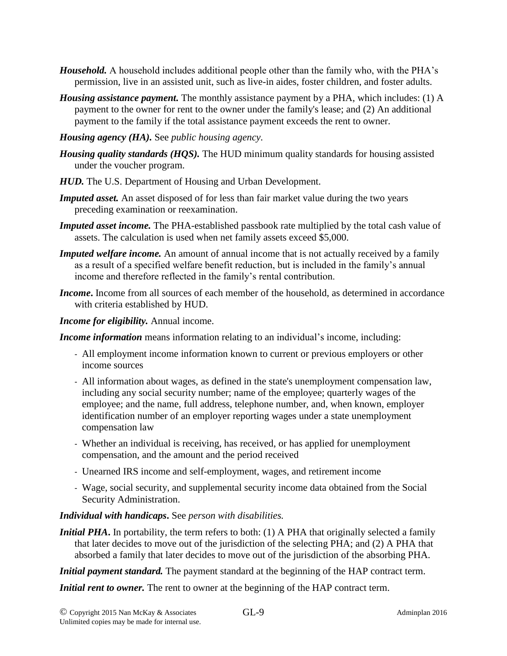- *Household.* A household includes additional people other than the family who, with the PHA's permission, live in an assisted unit, such as live-in aides, foster children, and foster adults.
- *Housing assistance payment.* The monthly assistance payment by a PHA, which includes: (1) A payment to the owner for rent to the owner under the family's lease; and (2) An additional payment to the family if the total assistance payment exceeds the rent to owner.
- *Housing agency (HA).* See *public housing agency.*
- *Housing quality standards (HQS).* The HUD minimum quality standards for housing assisted under the voucher program.
- *HUD.* The U.S. Department of Housing and Urban Development.
- *Imputed asset.* An asset disposed of for less than fair market value during the two years preceding examination or reexamination.
- *Imputed asset income.* The PHA-established passbook rate multiplied by the total cash value of assets. The calculation is used when net family assets exceed \$5,000.
- *Imputed welfare income.* An amount of annual income that is not actually received by a family as a result of a specified welfare benefit reduction, but is included in the family's annual income and therefore reflected in the family's rental contribution.
- *Income***.** Income from all sources of each member of the household, as determined in accordance with criteria established by HUD.
- *Income for eligibility.* Annual income.

*Income information* means information relating to an individual's income, including:

- All employment income information known to current or previous employers or other income sources
- All information about wages, as defined in the state's unemployment compensation law, including any social security number; name of the employee; quarterly wages of the employee; and the name, full address, telephone number, and, when known, employer identification number of an employer reporting wages under a state unemployment compensation law
- Whether an individual is receiving, has received, or has applied for unemployment compensation, and the amount and the period received
- Unearned IRS income and self-employment, wages, and retirement income
- Wage, social security, and supplemental security income data obtained from the Social Security Administration.

## *Individual with handicaps***.** See *person with disabilities.*

*Initial PHA***.** In portability, the term refers to both: (1) A PHA that originally selected a family that later decides to move out of the jurisdiction of the selecting PHA; and (2) A PHA that absorbed a family that later decides to move out of the jurisdiction of the absorbing PHA.

*Initial payment standard*. The payment standard at the beginning of the HAP contract term.

*Initial rent to owner*. The rent to owner at the beginning of the HAP contract term.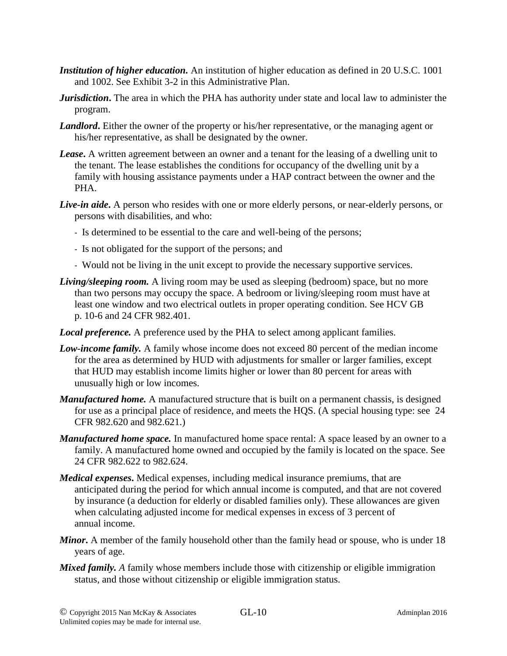- *Institution of higher education.* An institution of higher education as defined in 20 U.S.C. 1001 and 1002. See Exhibit 3-2 in this Administrative Plan.
- *Jurisdiction***.** The area in which the PHA has authority under state and local law to administer the program.
- *Landlord*. Either the owner of the property or his/her representative, or the managing agent or his/her representative, as shall be designated by the owner.
- *Lease***.** A written agreement between an owner and a tenant for the leasing of a dwelling unit to the tenant. The lease establishes the conditions for occupancy of the dwelling unit by a family with housing assistance payments under a HAP contract between the owner and the PHA.
- *Live-in aide***.** A person who resides with one or more elderly persons, or near-elderly persons, or persons with disabilities, and who:
	- Is determined to be essential to the care and well-being of the persons;
	- Is not obligated for the support of the persons; and
	- Would not be living in the unit except to provide the necessary supportive services.
- *Living/sleeping room.* A living room may be used as sleeping (bedroom) space, but no more than two persons may occupy the space. A bedroom or living/sleeping room must have at least one window and two electrical outlets in proper operating condition. See HCV GB p. 10-6 and 24 CFR 982.401.
- *Local preference.* A preference used by the PHA to select among applicant families.
- *Low-income family.* A family whose income does not exceed 80 percent of the median income for the area as determined by HUD with adjustments for smaller or larger families, except that HUD may establish income limits higher or lower than 80 percent for areas with unusually high or low incomes.
- *Manufactured home.* A manufactured structure that is built on a permanent chassis, is designed for use as a principal place of residence, and meets the HQS. (A special housing type: see 24 CFR 982.620 and 982.621.)
- *Manufactured home space.* In manufactured home space rental: A space leased by an owner to a family. A manufactured home owned and occupied by the family is located on the space. See 24 CFR 982.622 to 982.624.
- *Medical expenses***.** Medical expenses, including medical insurance premiums, that are anticipated during the period for which annual income is computed, and that are not covered by insurance (a deduction for elderly or disabled families only). These allowances are given when calculating adjusted income for medical expenses in excess of 3 percent of annual income.
- *Minor***.** A member of the family household other than the family head or spouse, who is under 18 years of age.
- *Mixed family.* A family whose members include those with citizenship or eligible immigration status, and those without citizenship or eligible immigration status.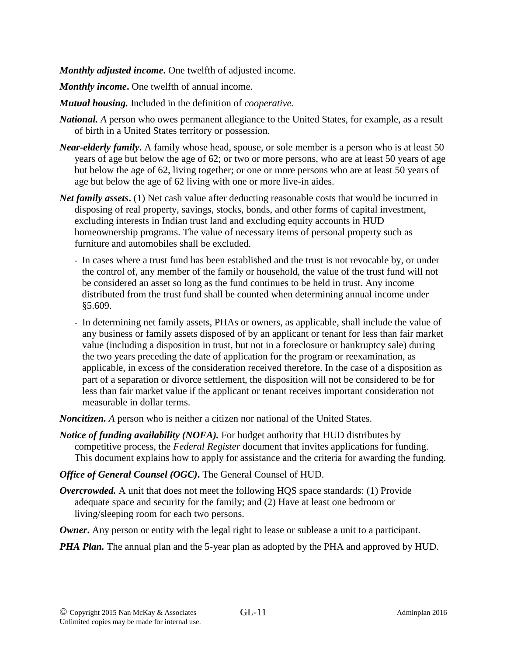*Monthly adjusted income***.** One twelfth of adjusted income.

*Monthly income***.** One twelfth of annual income.

- *Mutual housing.* Included in the definition of *cooperative.*
- *National. A* person who owes permanent allegiance to the United States, for example, as a result of birth in a United States territory or possession.
- *Near-elderly family***.** A family whose head, spouse, or sole member is a person who is at least 50 years of age but below the age of 62; or two or more persons, who are at least 50 years of age but below the age of 62, living together; or one or more persons who are at least 50 years of age but below the age of 62 living with one or more live-in aides.
- *Net family assets*. (1) Net cash value after deducting reasonable costs that would be incurred in disposing of real property, savings, stocks, bonds, and other forms of capital investment, excluding interests in Indian trust land and excluding equity accounts in HUD homeownership programs. The value of necessary items of personal property such as furniture and automobiles shall be excluded.
	- In cases where a trust fund has been established and the trust is not revocable by, or under the control of, any member of the family or household, the value of the trust fund will not be considered an asset so long as the fund continues to be held in trust. Any income distributed from the trust fund shall be counted when determining annual income under §5.609.
	- In determining net family assets, PHAs or owners, as applicable, shall include the value of any business or family assets disposed of by an applicant or tenant for less than fair market value (including a disposition in trust, but not in a foreclosure or bankruptcy sale) during the two years preceding the date of application for the program or reexamination, as applicable, in excess of the consideration received therefore. In the case of a disposition as part of a separation or divorce settlement, the disposition will not be considered to be for less than fair market value if the applicant or tenant receives important consideration not measurable in dollar terms.

*Noncitizen. A* person who is neither a citizen nor national of the United States.

- *Notice of funding availability (NOFA).* For budget authority that HUD distributes by competitive process, the *Federal Register* document that invites applications for funding. This document explains how to apply for assistance and the criteria for awarding the funding.
- *Office of General Counsel (OGC)***.** The General Counsel of HUD.
- *Overcrowded.* A unit that does not meet the following HQS space standards: (1) Provide adequate space and security for the family; and (2) Have at least one bedroom or living/sleeping room for each two persons.
- *Owner*. Any person or entity with the legal right to lease or sublease a unit to a participant.
- *PHA Plan.* The annual plan and the 5-year plan as adopted by the PHA and approved by HUD.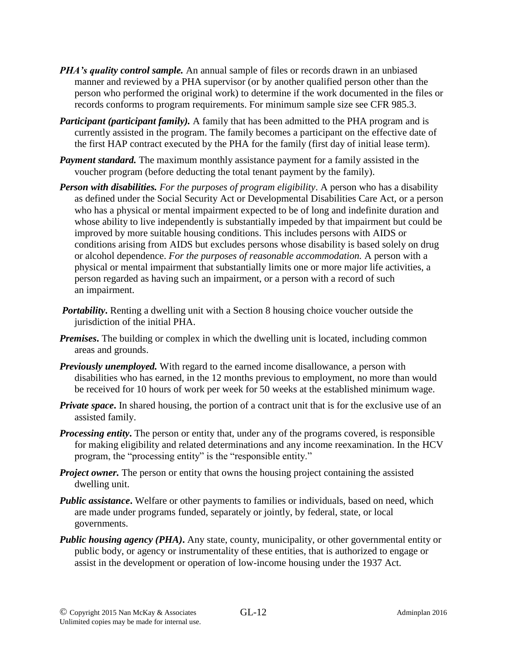- *PHA's quality control sample.* An annual sample of files or records drawn in an unbiased manner and reviewed by a PHA supervisor (or by another qualified person other than the person who performed the original work) to determine if the work documented in the files or records conforms to program requirements. For minimum sample size see CFR 985.3.
- *Participant (participant family).* A family that has been admitted to the PHA program and is currently assisted in the program. The family becomes a participant on the effective date of the first HAP contract executed by the PHA for the family (first day of initial lease term).
- *Payment standard.* The maximum monthly assistance payment for a family assisted in the voucher program (before deducting the total tenant payment by the family).
- *Person with disabilities. For the purposes of program eligibility*. A person who has a disability as defined under the Social Security Act or Developmental Disabilities Care Act, or a person who has a physical or mental impairment expected to be of long and indefinite duration and whose ability to live independently is substantially impeded by that impairment but could be improved by more suitable housing conditions. This includes persons with AIDS or conditions arising from AIDS but excludes persons whose disability is based solely on drug or alcohol dependence. *For the purposes of reasonable accommodation.* A person with a physical or mental impairment that substantially limits one or more major life activities, a person regarded as having such an impairment, or a person with a record of such an impairment.
- *Portability*. Renting a dwelling unit with a Section 8 housing choice voucher outside the jurisdiction of the initial PHA.
- *Premises*. The building or complex in which the dwelling unit is located, including common areas and grounds.
- *Previously unemployed.* With regard to the earned income disallowance, a person with disabilities who has earned, in the 12 months previous to employment, no more than would be received for 10 hours of work per week for 50 weeks at the established minimum wage.
- *Private space*. In shared housing, the portion of a contract unit that is for the exclusive use of an assisted family.
- *Processing entity***.** The person or entity that, under any of the programs covered, is responsible for making eligibility and related determinations and any income reexamination. In the HCV program, the "processing entity" is the "responsible entity."
- *Project owner.* The person or entity that owns the housing project containing the assisted dwelling unit.
- *Public assistance*. Welfare or other payments to families or individuals, based on need, which are made under programs funded, separately or jointly, by federal, state, or local governments.
- *Public housing agency (PHA)***.** Any state, county, municipality, or other governmental entity or public body, or agency or instrumentality of these entities, that is authorized to engage or assist in the development or operation of low-income housing under the 1937 Act.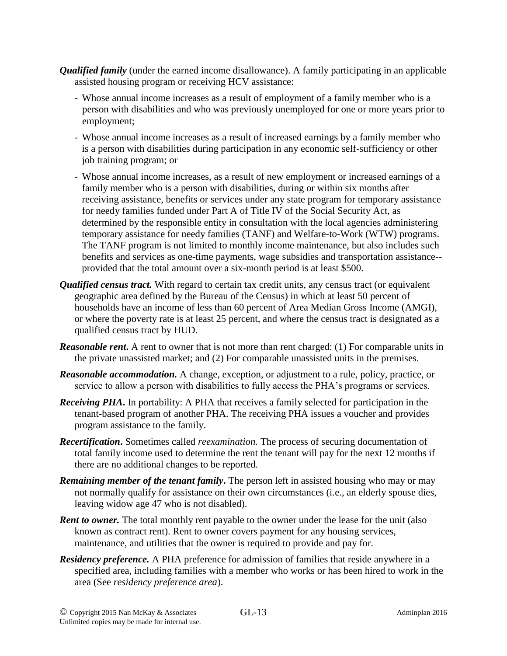- *Qualified family* (under the earned income disallowance). A family participating in an applicable assisted housing program or receiving HCV assistance:
	- Whose annual income increases as a result of employment of a family member who is a person with disabilities and who was previously unemployed for one or more years prior to employment;
	- Whose annual income increases as a result of increased earnings by a family member who is a person with disabilities during participation in any economic self-sufficiency or other job training program; or
	- Whose annual income increases, as a result of new employment or increased earnings of a family member who is a person with disabilities, during or within six months after receiving assistance, benefits or services under any state program for temporary assistance for needy families funded under Part A of Title IV of the Social Security Act, as determined by the responsible entity in consultation with the local agencies administering temporary assistance for needy families (TANF) and Welfare-to-Work (WTW) programs. The TANF program is not limited to monthly income maintenance, but also includes such benefits and services as one-time payments, wage subsidies and transportation assistance- provided that the total amount over a six-month period is at least \$500.
- *Qualified census tract.* With regard to certain tax credit units, any census tract (or equivalent geographic area defined by the Bureau of the Census) in which at least 50 percent of households have an income of less than 60 percent of Area Median Gross Income (AMGI), or where the poverty rate is at least 25 percent, and where the census tract is designated as a qualified census tract by HUD.
- *Reasonable rent*. A rent to owner that is not more than rent charged: (1) For comparable units in the private unassisted market; and (2) For comparable unassisted units in the premises.
- *Reasonable accommodation.* A change, exception, or adjustment to a rule, policy, practice, or service to allow a person with disabilities to fully access the PHA's programs or services.
- *Receiving PHA***.** In portability: A PHA that receives a family selected for participation in the tenant-based program of another PHA. The receiving PHA issues a voucher and provides program assistance to the family.
- *Recertification***.** Sometimes called *reexamination.* The process of securing documentation of total family income used to determine the rent the tenant will pay for the next 12 months if there are no additional changes to be reported.
- *Remaining member of the tenant family***.** The person left in assisted housing who may or may not normally qualify for assistance on their own circumstances (i.e., an elderly spouse dies, leaving widow age 47 who is not disabled).
- *Rent to owner.* The total monthly rent payable to the owner under the lease for the unit (also known as contract rent). Rent to owner covers payment for any housing services, maintenance, and utilities that the owner is required to provide and pay for.
- *Residency preference.* A PHA preference for admission of families that reside anywhere in a specified area, including families with a member who works or has been hired to work in the area (See *residency preference area*).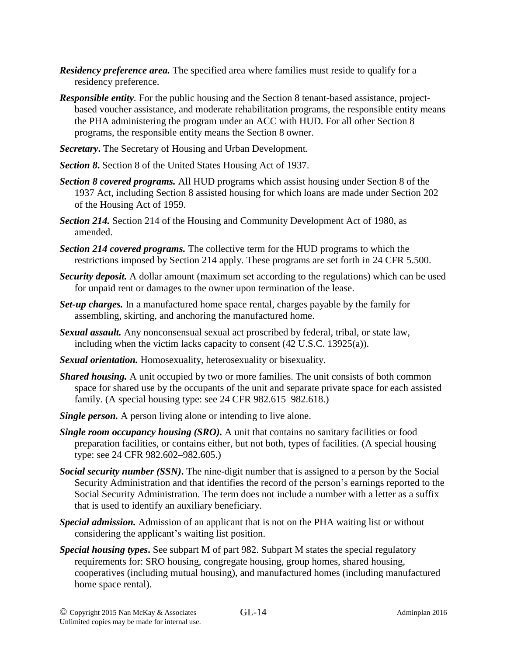- *Residency preference area.* The specified area where families must reside to qualify for a residency preference.
- *Responsible entity.* For the public housing and the Section 8 tenant-based assistance, projectbased voucher assistance, and moderate rehabilitation programs, the responsible entity means the PHA administering the program under an ACC with HUD. For all other Section 8 programs, the responsible entity means the Section 8 owner.
- *Secretary***.** The Secretary of Housing and Urban Development.
- *Section 8***.** Section 8 of the United States Housing Act of 1937.
- *Section 8 covered programs.* All HUD programs which assist housing under Section 8 of the 1937 Act, including Section 8 assisted housing for which loans are made under Section 202 of the Housing Act of 1959.
- *Section 214.* Section 214 of the Housing and Community Development Act of 1980, as amended.
- *Section 214 covered programs.* The collective term for the HUD programs to which the restrictions imposed by Section 214 apply. These programs are set forth in 24 CFR 5.500.
- *Security deposit.* A dollar amount (maximum set according to the regulations) which can be used for unpaid rent or damages to the owner upon termination of the lease.
- *Set-up charges.* In a manufactured home space rental, charges payable by the family for assembling, skirting, and anchoring the manufactured home.
- *Sexual assault.* Any nonconsensual sexual act proscribed by federal, tribal, or state law, including when the victim lacks capacity to consent (42 U.S.C. 13925(a)).
- *Sexual orientation.* Homosexuality, heterosexuality or bisexuality.
- *Shared housing.* A unit occupied by two or more families. The unit consists of both common space for shared use by the occupants of the unit and separate private space for each assisted family. (A special housing type: see 24 CFR 982.615–982.618.)
- *Single person.* A person living alone or intending to live alone.
- *Single room occupancy housing (SRO).* A unit that contains no sanitary facilities or food preparation facilities, or contains either, but not both, types of facilities. (A special housing type: see 24 CFR 982.602–982.605.)
- *Social security number (SSN)***.** The nine-digit number that is assigned to a person by the Social Security Administration and that identifies the record of the person's earnings reported to the Social Security Administration. The term does not include a number with a letter as a suffix that is used to identify an auxiliary beneficiary.
- *Special admission.* Admission of an applicant that is not on the PHA waiting list or without considering the applicant's waiting list position.
- *Special housing types***.** See subpart M of part 982. Subpart M states the special regulatory requirements for: SRO housing, congregate housing, group homes, shared housing, cooperatives (including mutual housing), and manufactured homes (including manufactured home space rental).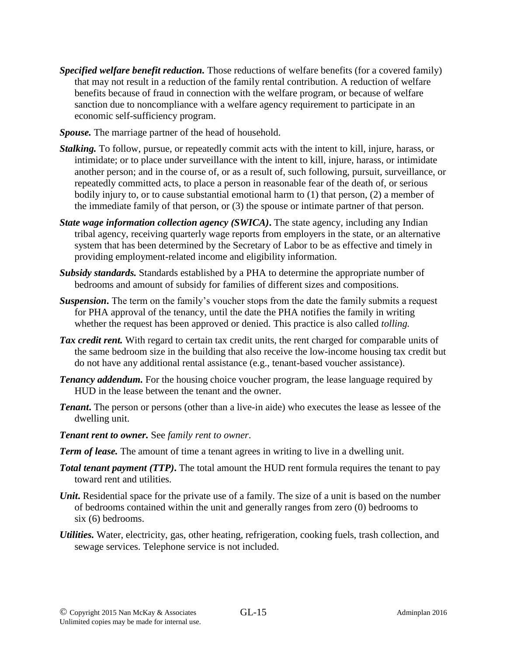- *Specified welfare benefit reduction.* Those reductions of welfare benefits (for a covered family) that may not result in a reduction of the family rental contribution. A reduction of welfare benefits because of fraud in connection with the welfare program, or because of welfare sanction due to noncompliance with a welfare agency requirement to participate in an economic self-sufficiency program.
- *Spouse.* The marriage partner of the head of household.
- *Stalking.* To follow, pursue, or repeatedly commit acts with the intent to kill, injure, harass, or intimidate; or to place under surveillance with the intent to kill, injure, harass, or intimidate another person; and in the course of, or as a result of, such following, pursuit, surveillance, or repeatedly committed acts, to place a person in reasonable fear of the death of, or serious bodily injury to, or to cause substantial emotional harm to (1) that person, (2) a member of the immediate family of that person, or (3) the spouse or intimate partner of that person.
- *State wage information collection agency (SWICA)***.** The state agency, including any Indian tribal agency, receiving quarterly wage reports from employers in the state, or an alternative system that has been determined by the Secretary of Labor to be as effective and timely in providing employment-related income and eligibility information.
- *Subsidy standards.* Standards established by a PHA to determine the appropriate number of bedrooms and amount of subsidy for families of different sizes and compositions.
- **Suspension.** The term on the family's voucher stops from the date the family submits a request for PHA approval of the tenancy, until the date the PHA notifies the family in writing whether the request has been approved or denied. This practice is also called *tolling.*
- *Tax credit rent.* With regard to certain tax credit units, the rent charged for comparable units of the same bedroom size in the building that also receive the low-income housing tax credit but do not have any additional rental assistance (e.g., tenant-based voucher assistance).
- *Tenancy addendum.* For the housing choice voucher program, the lease language required by HUD in the lease between the tenant and the owner.
- *Tenant*. The person or persons (other than a live-in aide) who executes the lease as lessee of the dwelling unit.
- *Tenant rent to owner.* See *family rent to owner*.
- *Term of lease.* The amount of time a tenant agrees in writing to live in a dwelling unit.
- **Total tenant payment (TTP).** The total amount the HUD rent formula requires the tenant to pay toward rent and utilities.
- *Unit*. Residential space for the private use of a family. The size of a unit is based on the number of bedrooms contained within the unit and generally ranges from zero (0) bedrooms to six (6) bedrooms.
- *Utilities.* Water, electricity, gas, other heating, refrigeration, cooking fuels, trash collection, and sewage services. Telephone service is not included.